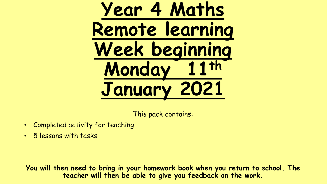# **Year 4 Maths Remote learning Week beginning Monday 11th January 2021**

This pack contains:

- Completed activity for teaching
- 5 lessons with tasks

**You will then need to bring in your homework book when you return to school. The teacher will then be able to give you feedback on the work.**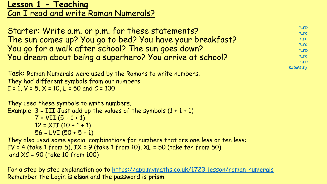# **Lesson 1 - Teaching** Can I read and write Roman Numerals?

Starter: Write a.m. or p.m. for these statements? The sun comes up? You go to bed? You have your breakfast? You go for a walk after school? The sun goes down? You dream about being a superhero? You arrive at school? a.m. p.m. a.m. p.m. p.m. p.m. a.m.

**SUSWERNA** 

Task: Roman Numerals were used by the Romans to write numbers. They had different symbols from our numbers.  $I = 1$ ,  $V = 5$ ,  $X = 10$ ,  $L = 50$  and  $C = 100$ 

They used these symbols to write numbers. Example:  $3 = ITI$  Just add up the values of the symbols  $(1 + 1 + 1)$  $7 = VII (5 + 1 + 1)$  $12 = XII (10 + 1 + 1)$  $56 = LVI (50 + 5 + 1)$ They also used some special combinations for numbers that are one less or ten less: IV = 4 (take 1 from 5),  $IX = 9$  (take 1 from 10),  $XL = 50$  (take ten from 50) and XC = 90 (take 10 from 100)

For a step by step explanation go to <https://app.mymaths.co.uk/1723-lesson/roman-numerals> Remember the Login is **elson** and the password is **prism**.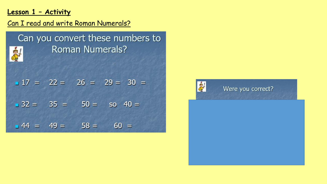## **Lesson 1 – Activity**

# Can I read and write Roman Numerals?

| Can you convert these numbers to<br><b>Roman Numerals?</b> |  |  |                            |  |  |  |
|------------------------------------------------------------|--|--|----------------------------|--|--|--|
|                                                            |  |  | $17 = 22 = 26 = 29 = 30 =$ |  |  |  |
|                                                            |  |  | $32 = 35 = 50 = 50 = 40 =$ |  |  |  |
| $-44 = 49 =$                                               |  |  | $58 = 60 =$                |  |  |  |

SH

Were you correct?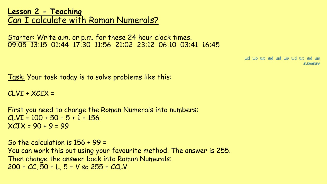**Lesson 2 - Teaching** Can I calculate with Roman Numerals?

Starter: Write a.m. or p.m. for these 24 hour clock times. 09:05 13:15 01:44 17:30 11:56 21:02 23:12 06:10 03:41 16:45

> Answers: und up up und und up und upm am pm am pm am pm am pm am pm am pm am pm am pm am pm am pm am pm am pm am pm am p

Task: Your task today is to solve problems like this:

 $CLVI + XCIX =$ 

First you need to change the Roman Numerals into numbers:  $CLVI = 100 + 50 + 5 + 1 = 156$  $XCIX = 90 + 9 = 99$ 

So the calculation is 156 + 99 = You can work this out using your favourite method. The answer is 255. Then change the answer back into Roman Numerals:  $200 = CC$ ,  $50 = L$ ,  $5 = V$  so  $255 = CCLV$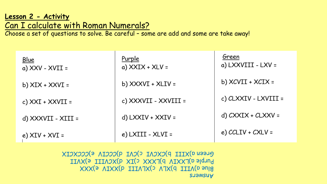#### **Lesson 2 - Activity** Can I calculate with Roman Numerals?

Choose a set of questions to solve. Be careful – some are add and some are take away!

| Blue<br>a) $XXV - XVII =$ | Purple<br>a) $XXIX + XLV =$ | Green<br>a) LXXVIII - LXV = |
|---------------------------|-----------------------------|-----------------------------|
| b) $XIX + XXXVI =$        | b) $XXXVI + XLIV =$         | b) $XCVII + XCIX =$         |
| c) $XXI + XXVII =$        | c) XXXVII - XXVIII =        | c) CLXXIV - LXVIII =        |
| = IIIX - IIVXXVI (b       | d) $LXXXIV + XXIV =$        | d) $CXXIX + CUXXV =$        |
| e) $XIV + XVI =$          | e) LXIII - XLVI =           | e) $CCLIV + CXLV =$         |

**SUSWERA** Blue a)XXX(P IIIATX(2 AJX(d IIIV(b) Purple a)LXXIV b)LXXX c)IX d)XCVIII e)XVII Green a)XIII b)CXCVI c)CVI d)CCCIV e)CCCXCIX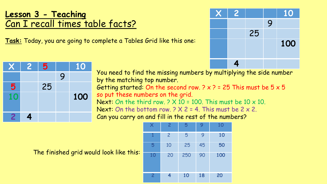# **Lesson 3 - Teaching** Can I recall times table facts?

**Task:** Today, you are going to complete a Tables Grid like this one:



|   | 2 | 5  |   | 10  |
|---|---|----|---|-----|
|   |   |    | 9 |     |
| 5 |   | 25 |   |     |
|   |   |    |   | 100 |
|   |   |    |   |     |
|   |   |    |   |     |

You need to find the missing numbers by multiplying the side number by the matching top number. Getting started: On the second row.  $2 \times 2 = 25$  This must be  $5 \times 5$ so put these numbers on the grid. Next: On the third row.  $9 \times 10 = 100$ . This must be  $10 \times 10$ . Next: On the bottom row.  $2 \times 2 = 4$ . This must be  $2 \times 2$ . Can you carry on and fill in the rest of the numbers?



The finished grid would look like this: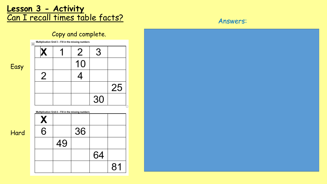# **Lesson 3 - Activity** <u>Can I recall times table facts?</u> Answers:

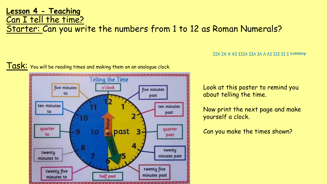### **Lesson 4 - Teaching** Can I tell the time?

Starter: Can you write the numbers from 1 to 12 as Roman Numerals?

#### Task: You will be reading times and making them on an analogue clock.



#### Answers I II III IV V VI VII VIII IX X XI XII

Look at this poster to remind you about telling the time.

Now print the next page and make yourself a clock.

Can you make the times shown?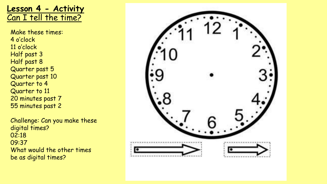**Lesson 4 - Activity** Can I tell the time?

Make these times: 4 o'clock 11 o'clock Half past 3 Half past 8 Quarter past 5 Quarter past 10 Quarter to 4 Quarter to 11 20 minutes past 7 55 minutes past 2

Challenge: Can you make these digital times? 02:18 09:37 What would the other times be as digital times?

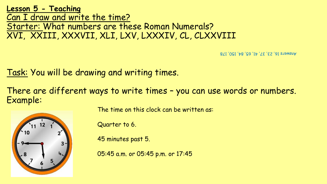**Lesson 5 - Teaching** Can I draw and write the time? Starter: What numbers are these Roman Numerals? XVI, XXIII, XXXVII, XLI, LXV, LXXXIV, CL, CLXXVIII

Answers 16, 23, 37, 41, 65, 84, 150, 178

Task: You will be drawing and writing times.

There are different ways to write times – you can use words or numbers. Example:



The time on this clock can be written as:

Quarter to 6.

45 minutes past 5.

05:45 a.m. or 05:45 p.m. or 17:45